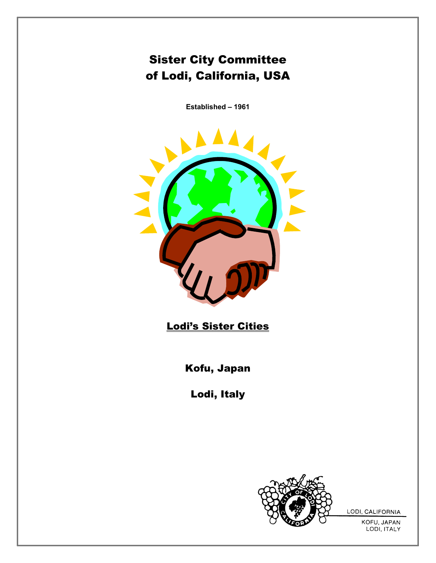# Sister City Committee of Lodi, California, USA

**Established – 1961** 



Lodi's Sister Cities

Kofu, Japan

Lodi, Italy



LODI, CALIFORNIA

KOFU, JAPAN LODI, ITALY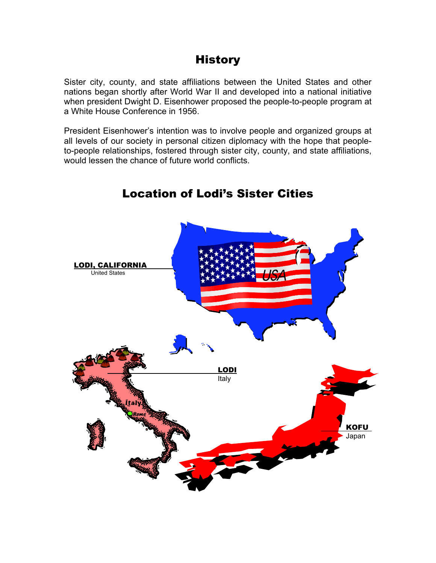# **History**

Sister city, county, and state affiliations between the United States and other nations began shortly after World War II and developed into a national initiative when president Dwight D. Eisenhower proposed the people-to-people program at a White House Conference in 1956.

President Eisenhower's intention was to involve people and organized groups at all levels of our society in personal citizen diplomacy with the hope that peopleto-people relationships, fostered through sister city, county, and state affiliations, would lessen the chance of future world conflicts.



## Location of Lodi's Sister Cities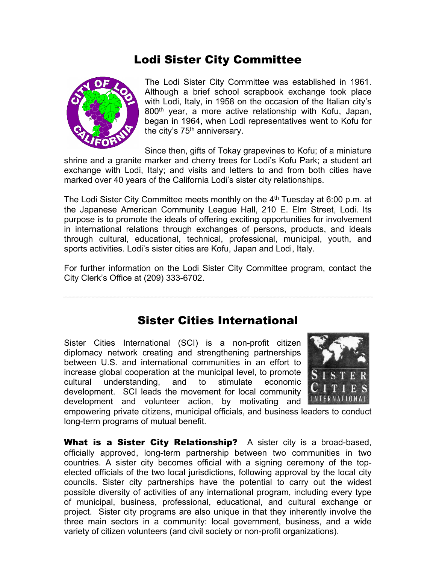## Lodi Sister City Committee



The Lodi Sister City Committee was established in 1961. Although a brief school scrapbook exchange took place with Lodi, Italy, in 1958 on the occasion of the Italian city's 800<sup>th</sup> year, a more active relationship with Kofu, Japan, began in 1964, when Lodi representatives went to Kofu for the city's  $75<sup>th</sup>$  anniversary.

Since then, gifts of Tokay grapevines to Kofu; of a miniature shrine and a granite marker and cherry trees for Lodi's Kofu Park; a student art exchange with Lodi, Italy; and visits and letters to and from both cities have marked over 40 years of the California Lodi's sister city relationships.

The Lodi Sister City Committee meets monthly on the  $4<sup>th</sup>$  Tuesday at 6:00 p.m. at the Japanese American Community League Hall, 210 E. Elm Street, Lodi. Its purpose is to promote the ideals of offering exciting opportunities for involvement in international relations through exchanges of persons, products, and ideals through cultural, educational, technical, professional, municipal, youth, and sports activities. Lodi's sister cities are Kofu, Japan and Lodi, Italy.

For further information on the Lodi Sister City Committee program, contact the City Clerk's Office at (209) 333-6702.

### Sister Cities International

Sister Cities International (SCI) is a non-profit citizen diplomacy network creating and strengthening partnerships between U.S. and international communities in an effort to increase global cooperation at the municipal level, to promote cultural understanding, and to stimulate economic development. SCI leads the movement for local community development and volunteer action, by motivating and



empowering private citizens, municipal officials, and business leaders to conduct long-term programs of mutual benefit.

What is a Sister City Relationship? A sister city is a broad-based, officially approved, long-term partnership between two communities in two countries. A sister city becomes official with a signing ceremony of the topelected officials of the two local jurisdictions, following approval by the local city councils. Sister city partnerships have the potential to carry out the widest possible diversity of activities of any international program, including every type of municipal, business, professional, educational, and cultural exchange or project. Sister city programs are also unique in that they inherently involve the three main sectors in a community: local government, business, and a wide variety of citizen volunteers (and civil society or non-profit organizations).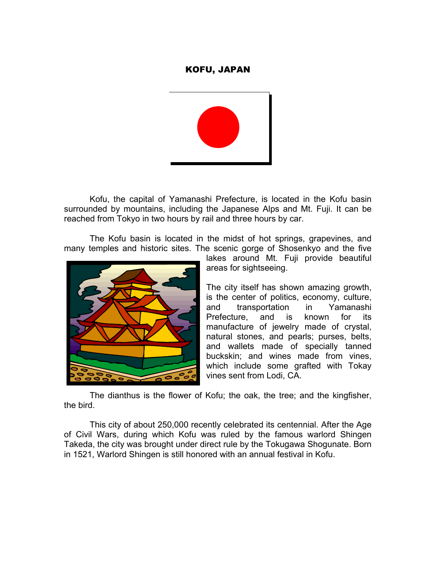#### KOFU, JAPAN



 Kofu, the capital of Yamanashi Prefecture, is located in the Kofu basin surrounded by mountains, including the Japanese Alps and Mt. Fuji. It can be reached from Tokyo in two hours by rail and three hours by car.

 The Kofu basin is located in the midst of hot springs, grapevines, and many temples and historic sites. The scenic gorge of Shosenkyo and the five



lakes around Mt. Fuji provide beautiful areas for sightseeing.

The city itself has shown amazing growth, is the center of politics, economy, culture, and transportation in Yamanashi Prefecture, and is known for its manufacture of jewelry made of crystal, natural stones, and pearls; purses, belts, and wallets made of specially tanned buckskin; and wines made from vines, which include some grafted with Tokay vines sent from Lodi, CA.

 The dianthus is the flower of Kofu; the oak, the tree; and the kingfisher, the bird.

 This city of about 250,000 recently celebrated its centennial. After the Age of Civil Wars, during which Kofu was ruled by the famous warlord Shingen Takeda, the city was brought under direct rule by the Tokugawa Shogunate. Born in 1521, Warlord Shingen is still honored with an annual festival in Kofu.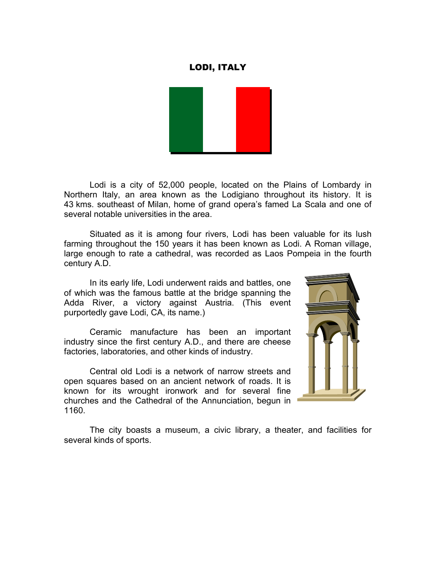#### LODI, ITALY



 Lodi is a city of 52,000 people, located on the Plains of Lombardy in Northern Italy, an area known as the Lodigiano throughout its history. It is 43 kms. southeast of Milan, home of grand opera's famed La Scala and one of several notable universities in the area.

 Situated as it is among four rivers, Lodi has been valuable for its lush farming throughout the 150 years it has been known as Lodi. A Roman village, large enough to rate a cathedral, was recorded as Laos Pompeia in the fourth century A.D.

 In its early life, Lodi underwent raids and battles, one of which was the famous battle at the bridge spanning the Adda River, a victory against Austria. (This event purportedly gave Lodi, CA, its name.)

 Ceramic manufacture has been an important industry since the first century A.D., and there are cheese factories, laboratories, and other kinds of industry.

 Central old Lodi is a network of narrow streets and open squares based on an ancient network of roads. It is known for its wrought ironwork and for several fine churches and the Cathedral of the Annunciation, begun in 1160.



 The city boasts a museum, a civic library, a theater, and facilities for several kinds of sports.